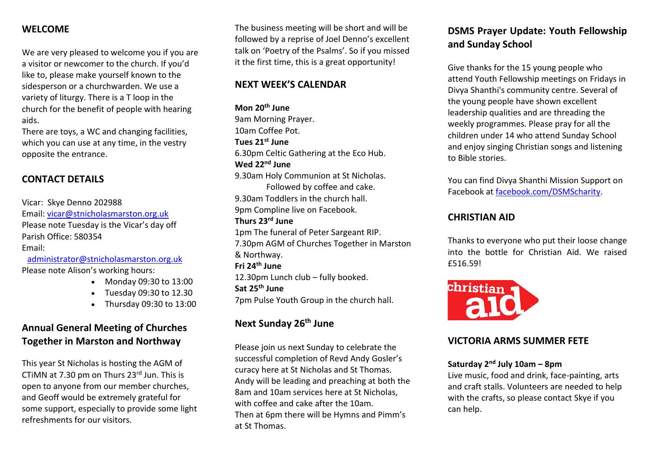## **WELCOME**

We are very pleased to welcome you if you are a visitor or newcomer to the church. If you'd like to, please make yourself known to the sidesperson or a churchwarden. We use a variety of liturgy. There is a T loop in the church for the benefit of people with hearing aids.

There are toys, a WC and changing facilities, which you can use at any time, in the vestry opposite the entrance.

## **CONTACT DETAILS**

Vicar: Skye Denno 202988 Email: [vicar@stnicholasmarston.org.uk](mailto:vicar@stnicholasmarston.org.uk) Please note Tuesday is the Vicar's day off Parish Office: 580354 Email:

[administrator@stnicholasmarston.org.uk](mailto:administrator@stnicholasmarston.org.uk) Please note Alison's working hours:

- Monday 09:30 to 13:00
- Tuesday 09:30 to 12.30
- Thursday 09:30 to 13:00

# **Annual General Meeting of Churches Together in Marston and Northway**

This year St Nicholas is hosting the AGM of CTiMN at 7.30 pm on Thurs 23rd Jun. This is open to anyone from our member churches, and Geoff would be extremely grateful for some support, especially to provide some light refreshments for our visitors.

The business meeting will be short and will be followed by a reprise of Joel Denno's excellent talk on 'Poetry of the Psalms'. So if you missed it the first time, this is a great opportunity!

### **NEXT WEEK'S CALENDAR**

**Mon 20th June** 9am Morning Prayer. 10am Coffee Pot. **Tues 21st June** 6.30pm Celtic Gathering at the Eco Hub. **Wed 22nd June** 9.30am Holy Communion at St Nicholas. Followed by coffee and cake. 9.30am Toddlers in the church hall. 9pm Compline live on Facebook. **Thurs 23rd June** 1pm The funeral of Peter Sargeant RIP. 7.30pm AGM of Churches Together in Marston & Northway. **Fri 24th June** 12.30pm Lunch club – fully booked. **Sat 25th June** 7pm Pulse Youth Group in the church hall.

## **Next Sunday 26th June**

Please join us next Sunday to celebrate the successful completion of Revd Andy Gosler's curacy here at St Nicholas and St Thomas. Andy will be leading and preaching at both the 8am and 10am services here at St Nicholas, with coffee and cake after the 10am. Then at 6pm there will be Hymns and Pimm's at St Thomas.

# **DSMS Prayer Update: Youth Fellowship and Sunday School**

Give thanks for the 15 young people who attend Youth Fellowship meetings on Fridays in Divya Shanthi's community centre. Several of the young people have shown excellent leadership qualities and are threading the weekly programmes. Please pray for all the children under 14 who attend Sunday School and enjoy singing Christian songs and listening to Bible stories.

You can find Divya Shanthi Mission Support on Facebook at [facebook.com/DSMScharity.](http://facebook.com/DSMScharity)

### **CHRISTIAN AID**

Thanks to everyone who put their loose change into the bottle for Christian Aid. We raised £516.59!



## **VICTORIA ARMS SUMMER FETE**

#### **Saturday 2nd July 10am – 8pm**

Live music, food and drink, face-painting, arts and craft stalls. Volunteers are needed to help with the crafts, so please contact Skye if you can help.